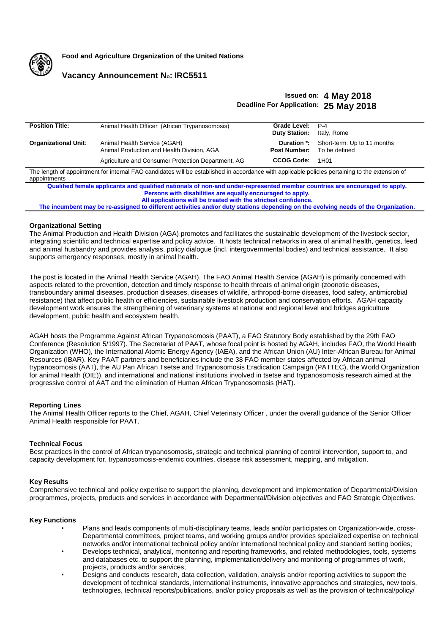

**Food and Agriculture Organization of the United Nations**

## **Vacancy Announcement No: IRC5511**

# **Issued on: 4 May 2018 Deadline For Application: 25 May 2018**

| <b>Position Title:</b>                                                                                                                          | Animal Health Officer (African Trypanosomosis)     | Grade Level:         | $P-4$                       |
|-------------------------------------------------------------------------------------------------------------------------------------------------|----------------------------------------------------|----------------------|-----------------------------|
|                                                                                                                                                 |                                                    | <b>Duty Station:</b> | Italy, Rome                 |
|                                                                                                                                                 |                                                    |                      |                             |
| <b>Organizational Unit:</b>                                                                                                                     | Animal Health Service (AGAH)                       | Duration *:          | Short-term: Up to 11 months |
|                                                                                                                                                 | Animal Production and Health Division, AGA         | <b>Post Number:</b>  | To be defined               |
|                                                                                                                                                 |                                                    |                      |                             |
|                                                                                                                                                 | Agriculture and Consumer Protection Department, AG | CCOG Code:           | 1H01                        |
|                                                                                                                                                 |                                                    |                      |                             |
| The length of appointment for internal FAO candidates will be established in accordance with applicable policies pertaining to the extension of |                                                    |                      |                             |
| appointments                                                                                                                                    |                                                    |                      |                             |
|                                                                                                                                                 |                                                    |                      |                             |
| Qualified female applicants and qualified nationals of non-and under-represented member countries are encouraged to apply.                      |                                                    |                      |                             |
| Persons with disabilities are equally encouraged to apply.                                                                                      |                                                    |                      |                             |
| All applications will be treated with the strictest confidence.                                                                                 |                                                    |                      |                             |
|                                                                                                                                                 |                                                    |                      |                             |

**The incumbent may be re-assigned to different activities and/or duty stations depending on the evolving needs of the Organization**.

## **Organizational Setting**

The Animal Production and Health Division (AGA) promotes and facilitates the sustainable development of the livestock sector, integrating scientific and technical expertise and policy advice. It hosts technical networks in area of animal health, genetics, feed and animal husbandry and provides analysis, policy dialogue (incl. intergovernmental bodies) and technical assistance. It also supports emergency responses, mostly in animal health.

The post is located in the Animal Health Service (AGAH). The FAO Animal Health Service (AGAH) is primarily concerned with aspects related to the prevention, detection and timely response to health threats of animal origin (zoonotic diseases, transboundary animal diseases, production diseases, diseases of wildlife, arthropod-borne diseases, food safety, antimicrobial resistance) that affect public health or efficiencies, sustainable livestock production and conservation efforts. AGAH capacity development work ensures the strengthening of veterinary systems at national and regional level and bridges agriculture development, public health and ecosystem health.

AGAH hosts the Programme Against African Trypanosomosis (PAAT), a FAO Statutory Body established by the 29th FAO Conference (Resolution 5/1997). The Secretariat of PAAT, whose focal point is hosted by AGAH, includes FAO, the World Health Organization (WHO), the International Atomic Energy Agency (IAEA), and the African Union (AU) Inter-African Bureau for Animal Resources (IBAR). Key PAAT partners and beneficiaries include the 38 FAO member states affected by African animal trypanosomosis (AAT), the AU Pan African Tsetse and Trypanosomosis Eradication Campaign (PATTEC), the World Organization for animal Health (OIE)), and international and national institutions involved in tsetse and trypanosomosis research aimed at the progressive control of AAT and the elimination of Human African Trypanosomosis (HAT).

## **Reporting Lines**

The Animal Health Officer reports to the Chief, AGAH, Chief Veterinary Officer , under the overall guidance of the Senior Officer Animal Health responsible for PAAT.

## **Technical Focus**

Best practices in the control of African trypanosomosis, strategic and technical planning of control intervention, support to, and capacity development for, trypanosomosis-endemic countries, disease risk assessment, mapping, and mitigation.

## **Key Results**

Comprehensive technical and policy expertise to support the planning, development and implementation of Departmental/Division programmes, projects, products and services in accordance with Departmental/Division objectives and FAO Strategic Objectives.

## **Key Functions**

- Plans and leads components of multi-disciplinary teams, leads and/or participates on Organization-wide, cross-Departmental committees, project teams, and working groups and/or provides specialized expertise on technical networks and/or international technical policy and/or international technical policy and standard setting bodies;
- Develops technical, analytical, monitoring and reporting frameworks, and related methodologies, tools, systems and databases etc. to support the planning, implementation/delivery and monitoring of programmes of work, projects, products and/or services;
- Designs and conducts research, data collection, validation, analysis and/or reporting activities to support the development of technical standards, international instruments, innovative approaches and strategies, new tools, technologies, technical reports/publications, and/or policy proposals as well as the provision of technical/policy/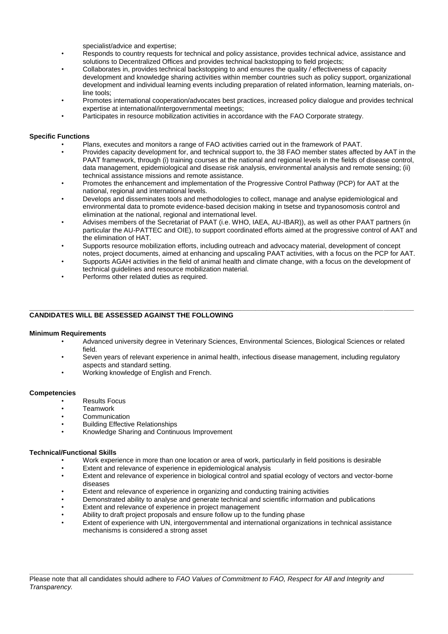specialist/advice and expertise;

- Responds to country requests for technical and policy assistance, provides technical advice, assistance and solutions to Decentralized Offices and provides technical backstopping to field projects;
- Collaborates in, provides technical backstopping to and ensures the quality / effectiveness of capacity development and knowledge sharing activities within member countries such as policy support, organizational development and individual learning events including preparation of related information, learning materials, online tools;
- Promotes international cooperation/advocates best practices, increased policy dialogue and provides technical expertise at international/intergovernmental meetings;
- Participates in resource mobilization activities in accordance with the FAO Corporate strategy.

## **Specific Functions**

- Plans, executes and monitors a range of FAO activities carried out in the framework of PAAT.
- Provides capacity development for, and technical support to, the 38 FAO member states affected by AAT in the PAAT framework, through (i) training courses at the national and regional levels in the fields of disease control, data management, epidemiological and disease risk analysis, environmental analysis and remote sensing; (ii) technical assistance missions and remote assistance.
- Promotes the enhancement and implementation of the Progressive Control Pathway (PCP) for AAT at the national, regional and international levels.
- Develops and disseminates tools and methodologies to collect, manage and analyse epidemiological and environmental data to promote evidence-based decision making in tsetse and trypanosomosis control and elimination at the national, regional and international level.
- Advises members of the Secretariat of PAAT (i.e. WHO, IAEA, AU-IBAR)), as well as other PAAT partners (in particular the AU-PATTEC and OIE), to support coordinated efforts aimed at the progressive control of AAT and the elimination of HAT.
- Supports resource mobilization efforts, including outreach and advocacy material, development of concept notes, project documents, aimed at enhancing and upscaling PAAT activities, with a focus on the PCP for AAT.
- Supports AGAH activities in the field of animal health and climate change, with a focus on the development of technical guidelines and resource mobilization material.
- Performs other related duties as required.

#### **\_\_\_\_\_\_\_\_\_\_\_\_\_\_\_\_\_\_\_\_\_\_\_\_\_\_\_\_\_\_\_\_\_\_\_\_\_\_\_\_\_\_\_\_\_\_\_\_\_\_\_\_\_\_\_\_\_\_\_\_\_\_\_\_\_\_\_\_\_\_\_\_\_\_\_\_\_\_\_\_\_\_\_\_\_\_\_\_\_\_\_\_\_\_\_\_\_\_\_\_\_\_ CANDIDATES WILL BE ASSESSED AGAINST THE FOLLOWING**

## **Minimum Requirements**

- Advanced university degree in Veterinary Sciences, Environmental Sciences, Biological Sciences or related field.
- Seven years of relevant experience in animal health, infectious disease management, including regulatory aspects and standard setting.
- Working knowledge of English and French.

## **Competencies**

- Results Focus
- **Teamwork**
- Communication
- Building Effective Relationships
- Knowledge Sharing and Continuous Improvement

## **Technical/Functional Skills**

- Work experience in more than one location or area of work, particularly in field positions is desirable
- Extent and relevance of experience in epidemiological analysis<br>• Extent and relevance of experience in biological control and spa
- Extent and relevance of experience in biological control and spatial ecology of vectors and vector-borne diseases
- Extent and relevance of experience in organizing and conducting training activities
- Demonstrated ability to analyse and generate technical and scientific information and publications
- Extent and relevance of experience in project management
- Ability to draft project proposals and ensure follow up to the funding phase
- Extent of experience with UN, intergovernmental and international organizations in technical assistance mechanisms is considered a strong asset

**\_\_\_\_\_\_\_\_\_\_\_\_\_\_\_\_\_\_\_\_\_\_\_\_\_\_\_\_\_\_\_\_\_\_\_\_\_\_\_\_\_\_\_\_\_\_\_\_\_\_\_\_\_\_\_\_\_\_\_\_\_\_\_\_\_\_\_\_\_\_\_\_\_\_\_\_\_\_\_\_\_\_\_\_\_\_\_\_\_\_\_\_\_\_\_\_\_\_\_\_\_\_**